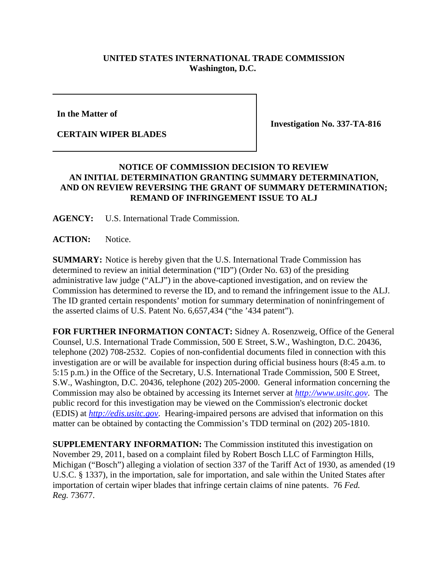## **UNITED STATES INTERNATIONAL TRADE COMMISSION Washington, D.C.**

**In the Matter of**

**CERTAIN WIPER BLADES**

**Investigation No. 337-TA-816**

## **NOTICE OF COMMISSION DECISION TO REVIEW AN INITIAL DETERMINATION GRANTING SUMMARY DETERMINATION, AND ON REVIEW REVERSING THE GRANT OF SUMMARY DETERMINATION; REMAND OF INFRINGEMENT ISSUE TO ALJ**

**AGENCY:** U.S. International Trade Commission.

**ACTION:** Notice.

**SUMMARY:** Notice is hereby given that the U.S. International Trade Commission has determined to review an initial determination ("ID") (Order No. 63) of the presiding administrative law judge ("ALJ") in the above-captioned investigation, and on review the Commission has determined to reverse the ID, and to remand the infringement issue to the ALJ. The ID granted certain respondents' motion for summary determination of noninfringement of the asserted claims of U.S. Patent No. 6,657,434 ("the '434 patent").

**FOR FURTHER INFORMATION CONTACT:** Sidney A. Rosenzweig, Office of the General Counsel, U.S. International Trade Commission, 500 E Street, S.W., Washington, D.C. 20436, telephone (202) 708-2532. Copies of non-confidential documents filed in connection with this investigation are or will be available for inspection during official business hours (8:45 a.m. to 5:15 p.m.) in the Office of the Secretary, U.S. International Trade Commission, 500 E Street, S.W., Washington, D.C. 20436, telephone (202) 205-2000. General information concerning the Commission may also be obtained by accessing its Internet server at *http://www.usitc.gov*. The public record for this investigation may be viewed on the Commission's electronic docket (EDIS) at *http://edis.usitc.gov*. Hearing-impaired persons are advised that information on this matter can be obtained by contacting the Commission's TDD terminal on (202) 205-1810.

**SUPPLEMENTARY INFORMATION:** The Commission instituted this investigation on November 29, 2011, based on a complaint filed by Robert Bosch LLC of Farmington Hills, Michigan ("Bosch") alleging a violation of section 337 of the Tariff Act of 1930, as amended (19 U.S.C. § 1337), in the importation, sale for importation, and sale within the United States after importation of certain wiper blades that infringe certain claims of nine patents. 76 *Fed. Reg.* 73677.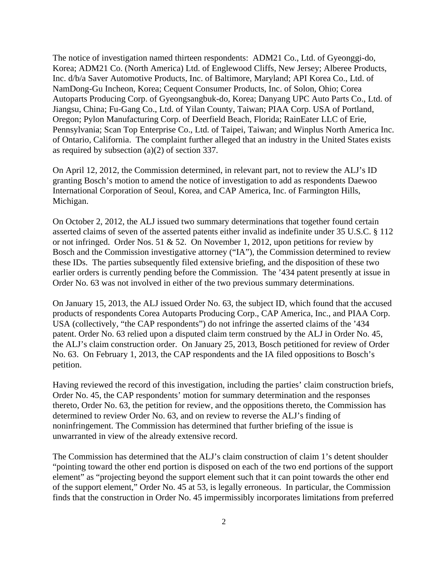The notice of investigation named thirteen respondents: ADM21 Co., Ltd. of Gyeonggi-do, Korea; ADM21 Co. (North America) Ltd. of Englewood Cliffs, New Jersey; Alberee Products, Inc. d/b/a Saver Automotive Products, Inc. of Baltimore, Maryland; API Korea Co., Ltd. of NamDong-Gu Incheon, Korea; Cequent Consumer Products, Inc. of Solon, Ohio; Corea Autoparts Producing Corp. of Gyeongsangbuk-do, Korea; Danyang UPC Auto Parts Co., Ltd. of Jiangsu, China; Fu-Gang Co., Ltd. of Yilan County, Taiwan; PIAA Corp. USA of Portland, Oregon; Pylon Manufacturing Corp. of Deerfield Beach, Florida; RainEater LLC of Erie, Pennsylvania; Scan Top Enterprise Co., Ltd. of Taipei, Taiwan; and Winplus North America Inc. of Ontario, California. The complaint further alleged that an industry in the United States exists as required by subsection (a)(2) of section 337.

On April 12, 2012, the Commission determined, in relevant part, not to review the ALJ's ID granting Bosch's motion to amend the notice of investigation to add as respondents Daewoo International Corporation of Seoul, Korea, and CAP America, Inc. of Farmington Hills, Michigan.

On October 2, 2012, the ALJ issued two summary determinations that together found certain asserted claims of seven of the asserted patents either invalid as indefinite under 35 U.S.C. § 112 or not infringed. Order Nos. 51 & 52. On November 1, 2012, upon petitions for review by Bosch and the Commission investigative attorney ("IA"), the Commission determined to review these IDs. The parties subsequently filed extensive briefing, and the disposition of these two earlier orders is currently pending before the Commission. The '434 patent presently at issue in Order No. 63 was not involved in either of the two previous summary determinations.

On January 15, 2013, the ALJ issued Order No. 63, the subject ID, which found that the accused products of respondents Corea Autoparts Producing Corp., CAP America, Inc., and PIAA Corp. USA (collectively, "the CAP respondents") do not infringe the asserted claims of the '434 patent. Order No. 63 relied upon a disputed claim term construed by the ALJ in Order No. 45, the ALJ's claim construction order. On January 25, 2013, Bosch petitioned for review of Order No. 63. On February 1, 2013, the CAP respondents and the IA filed oppositions to Bosch's petition.

Having reviewed the record of this investigation, including the parties' claim construction briefs, Order No. 45, the CAP respondents' motion for summary determination and the responses thereto, Order No. 63, the petition for review, and the oppositions thereto, the Commission has determined to review Order No. 63, and on review to reverse the ALJ's finding of noninfringement. The Commission has determined that further briefing of the issue is unwarranted in view of the already extensive record.

The Commission has determined that the ALJ's claim construction of claim 1's detent shoulder "pointing toward the other end portion is disposed on each of the two end portions of the support element" as "projecting beyond the support element such that it can point towards the other end of the support element," Order No. 45 at 53, is legally erroneous. In particular, the Commission finds that the construction in Order No. 45 impermissibly incorporates limitations from preferred